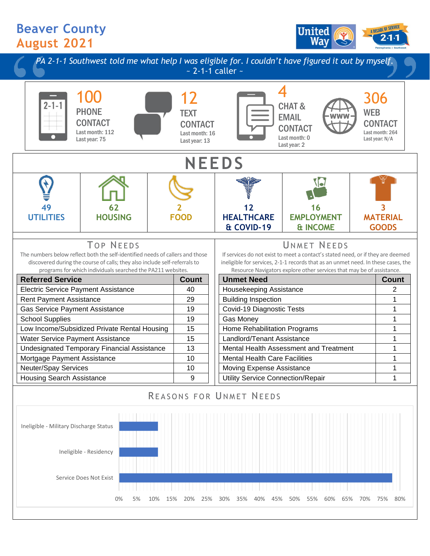## **Beaver County August 2021**